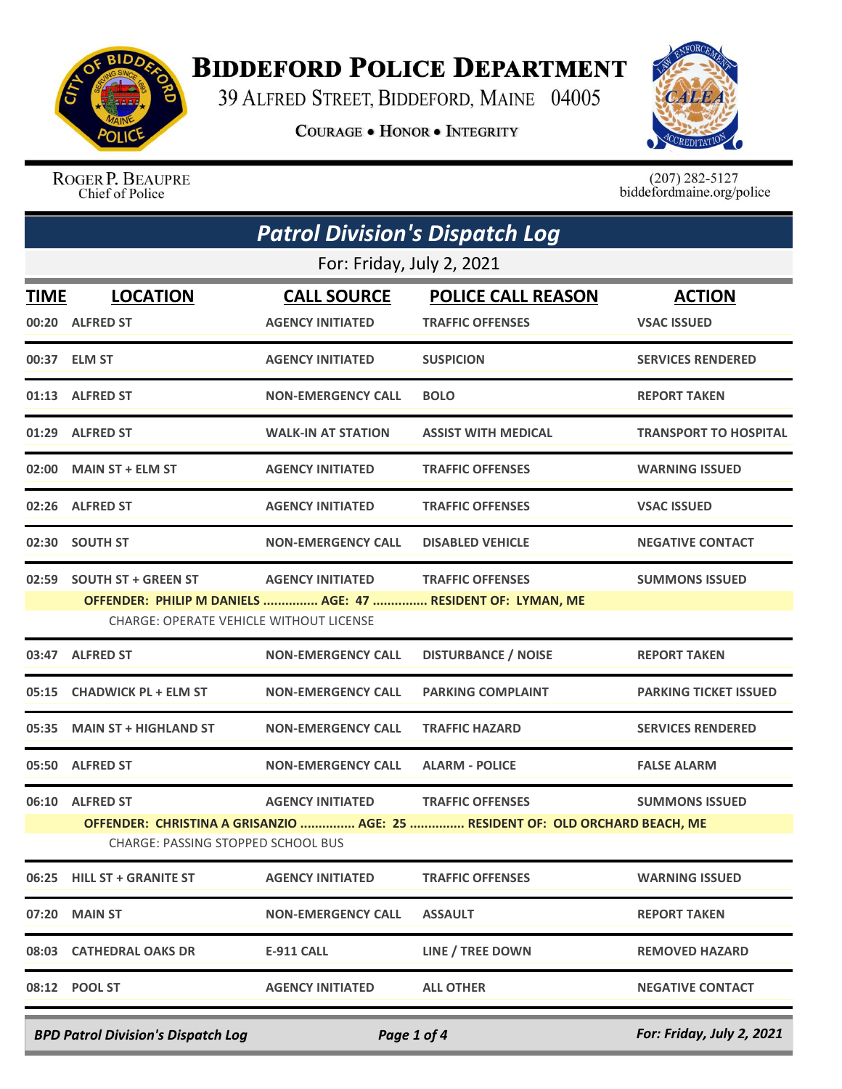

## **BIDDEFORD POLICE DEPARTMENT**

39 ALFRED STREET, BIDDEFORD, MAINE 04005

**COURAGE . HONOR . INTEGRITY** 



ROGER P. BEAUPRE Chief of Police

 $(207)$  282-5127<br>biddefordmaine.org/police

| <b>Patrol Division's Dispatch Log</b> |                                                                             |                                               |                                                                                                         |                                     |  |
|---------------------------------------|-----------------------------------------------------------------------------|-----------------------------------------------|---------------------------------------------------------------------------------------------------------|-------------------------------------|--|
|                                       | For: Friday, July 2, 2021                                                   |                                               |                                                                                                         |                                     |  |
| <b>TIME</b>                           | <b>LOCATION</b><br>00:20 ALFRED ST                                          | <b>CALL SOURCE</b><br><b>AGENCY INITIATED</b> | <b>POLICE CALL REASON</b><br><b>TRAFFIC OFFENSES</b>                                                    | <b>ACTION</b><br><b>VSAC ISSUED</b> |  |
|                                       | 00:37 ELM ST                                                                | <b>AGENCY INITIATED</b>                       | <b>SUSPICION</b>                                                                                        | <b>SERVICES RENDERED</b>            |  |
|                                       | 01:13 ALFRED ST                                                             | <b>NON-EMERGENCY CALL</b>                     | <b>BOLO</b>                                                                                             | <b>REPORT TAKEN</b>                 |  |
|                                       | 01:29 ALFRED ST                                                             | <b>WALK-IN AT STATION</b>                     | <b>ASSIST WITH MEDICAL</b>                                                                              | <b>TRANSPORT TO HOSPITAL</b>        |  |
|                                       | 02:00 MAIN ST + ELM ST                                                      | <b>AGENCY INITIATED</b>                       | <b>TRAFFIC OFFENSES</b>                                                                                 | <b>WARNING ISSUED</b>               |  |
|                                       | 02:26 ALFRED ST                                                             | <b>AGENCY INITIATED</b>                       | <b>TRAFFIC OFFENSES</b>                                                                                 | <b>VSAC ISSUED</b>                  |  |
|                                       | 02:30 SOUTH ST                                                              | <b>NON-EMERGENCY CALL</b>                     | <b>DISABLED VEHICLE</b>                                                                                 | <b>NEGATIVE CONTACT</b>             |  |
|                                       | 02:59 SOUTH ST + GREEN ST<br><b>CHARGE: OPERATE VEHICLE WITHOUT LICENSE</b> | <b>AGENCY INITIATED</b>                       | <b>TRAFFIC OFFENSES</b><br>OFFENDER: PHILIP M DANIELS  AGE: 47  RESIDENT OF: LYMAN, ME                  | <b>SUMMONS ISSUED</b>               |  |
|                                       | 03:47 ALFRED ST                                                             | <b>NON-EMERGENCY CALL</b>                     | <b>DISTURBANCE / NOISE</b>                                                                              | <b>REPORT TAKEN</b>                 |  |
|                                       | 05:15 CHADWICK PL + ELM ST                                                  | <b>NON-EMERGENCY CALL</b>                     | <b>PARKING COMPLAINT</b>                                                                                | <b>PARKING TICKET ISSUED</b>        |  |
| 05:35                                 | <b>MAIN ST + HIGHLAND ST</b>                                                | <b>NON-EMERGENCY CALL</b>                     | <b>TRAFFIC HAZARD</b>                                                                                   | <b>SERVICES RENDERED</b>            |  |
|                                       | 05:50 ALFRED ST                                                             | <b>NON-EMERGENCY CALL</b>                     | <b>ALARM - POLICE</b>                                                                                   | <b>FALSE ALARM</b>                  |  |
|                                       | 06:10 ALFRED ST<br>CHARGE: PASSING STOPPED SCHOOL BUS                       | <b>AGENCY INITIATED</b>                       | <b>TRAFFIC OFFENSES</b><br>OFFENDER: CHRISTINA A GRISANZIO  AGE: 25  RESIDENT OF: OLD ORCHARD BEACH, ME | <b>SUMMONS ISSUED</b>               |  |
|                                       | 06:25 HILL ST + GRANITE ST                                                  | <b>AGENCY INITIATED</b>                       | <b>TRAFFIC OFFENSES</b>                                                                                 | <b>WARNING ISSUED</b>               |  |
|                                       | 07:20 MAIN ST                                                               | <b>NON-EMERGENCY CALL</b>                     | <b>ASSAULT</b>                                                                                          | <b>REPORT TAKEN</b>                 |  |
|                                       | 08:03 CATHEDRAL OAKS DR                                                     | <b>E-911 CALL</b>                             | LINE / TREE DOWN                                                                                        | <b>REMOVED HAZARD</b>               |  |
|                                       | 08:12 POOL ST                                                               | <b>AGENCY INITIATED</b>                       | <b>ALL OTHER</b>                                                                                        | <b>NEGATIVE CONTACT</b>             |  |

*BPD Patrol Division's Dispatch Log Page 1 of 4 For: Friday, July 2, 2021*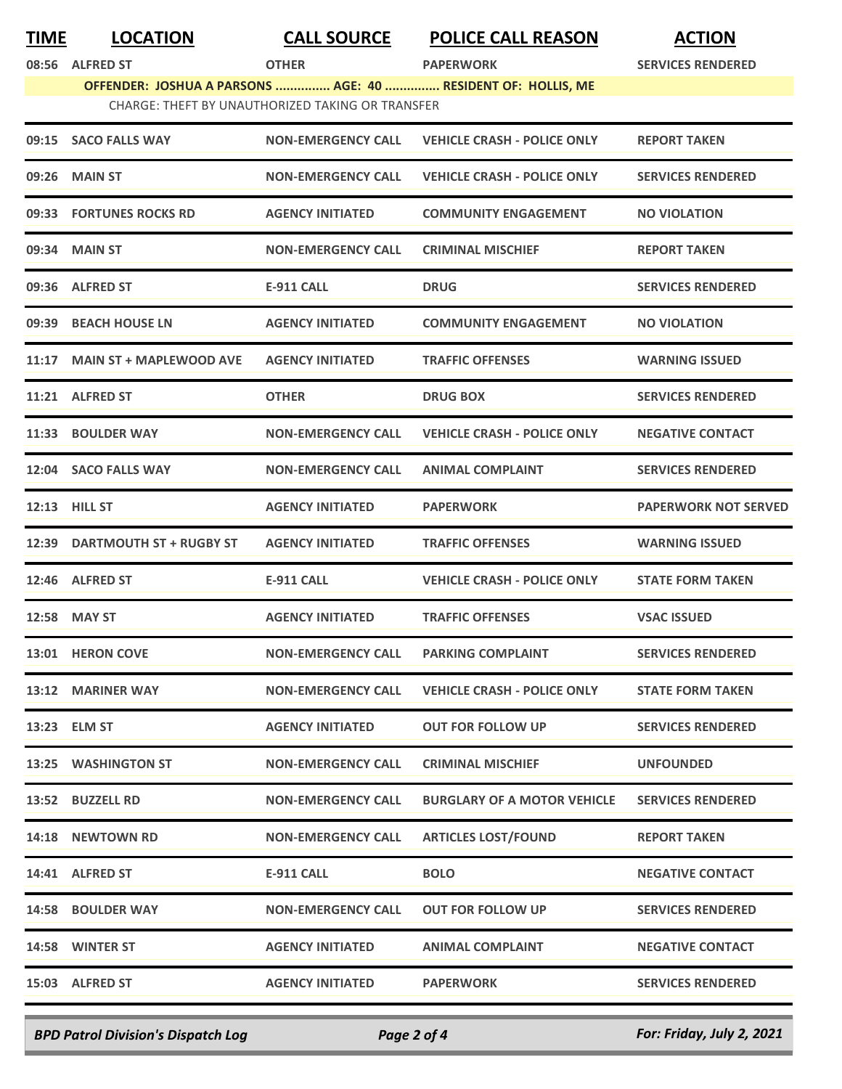| <u>TIME</u> | <b>LOCATION</b>                | <b>CALL SOURCE</b>                               | <b>POLICE CALL REASON</b>                                    | <b>ACTION</b>               |
|-------------|--------------------------------|--------------------------------------------------|--------------------------------------------------------------|-----------------------------|
| 08:56       | <b>ALFRED ST</b>               | <b>OTHER</b>                                     | <b>PAPERWORK</b>                                             | <b>SERVICES RENDERED</b>    |
|             |                                |                                                  | OFFENDER: JOSHUA A PARSONS  AGE: 40  RESIDENT OF: HOLLIS, ME |                             |
|             |                                | CHARGE: THEFT BY UNAUTHORIZED TAKING OR TRANSFER |                                                              |                             |
| 09:15       | <b>SACO FALLS WAY</b>          | <b>NON-EMERGENCY CALL</b>                        | <b>VEHICLE CRASH - POLICE ONLY</b>                           | <b>REPORT TAKEN</b>         |
| 09:26       | <b>MAIN ST</b>                 | <b>NON-EMERGENCY CALL</b>                        | <b>VEHICLE CRASH - POLICE ONLY</b>                           | <b>SERVICES RENDERED</b>    |
| 09:33       | <b>FORTUNES ROCKS RD</b>       | <b>AGENCY INITIATED</b>                          | <b>COMMUNITY ENGAGEMENT</b>                                  | <b>NO VIOLATION</b>         |
| 09:34       | <b>MAIN ST</b>                 | <b>NON-EMERGENCY CALL</b>                        | <b>CRIMINAL MISCHIEF</b>                                     | <b>REPORT TAKEN</b>         |
|             | 09:36 ALFRED ST                | <b>E-911 CALL</b>                                | <b>DRUG</b>                                                  | <b>SERVICES RENDERED</b>    |
| 09:39       | <b>BEACH HOUSE LN</b>          | <b>AGENCY INITIATED</b>                          | <b>COMMUNITY ENGAGEMENT</b>                                  | <b>NO VIOLATION</b>         |
| 11:17       | <b>MAIN ST + MAPLEWOOD AVE</b> | <b>AGENCY INITIATED</b>                          | <b>TRAFFIC OFFENSES</b>                                      | <b>WARNING ISSUED</b>       |
|             | 11:21 ALFRED ST                | <b>OTHER</b>                                     | <b>DRUG BOX</b>                                              | <b>SERVICES RENDERED</b>    |
|             | 11:33 BOULDER WAY              | <b>NON-EMERGENCY CALL</b>                        | <b>VEHICLE CRASH - POLICE ONLY</b>                           | <b>NEGATIVE CONTACT</b>     |
| 12:04       | <b>SACO FALLS WAY</b>          | <b>NON-EMERGENCY CALL</b>                        | <b>ANIMAL COMPLAINT</b>                                      | <b>SERVICES RENDERED</b>    |
| 12:13       | <b>HILL ST</b>                 | <b>AGENCY INITIATED</b>                          | <b>PAPERWORK</b>                                             | <b>PAPERWORK NOT SERVED</b> |
| 12:39       | <b>DARTMOUTH ST + RUGBY ST</b> | <b>AGENCY INITIATED</b>                          | <b>TRAFFIC OFFENSES</b>                                      | <b>WARNING ISSUED</b>       |
|             | 12:46 ALFRED ST                | <b>E-911 CALL</b>                                | <b>VEHICLE CRASH - POLICE ONLY</b>                           | <b>STATE FORM TAKEN</b>     |
|             | 12:58 MAY ST                   | <b>AGENCY INITIATED</b>                          | <b>TRAFFIC OFFENSES</b>                                      | <b>VSAC ISSUED</b>          |
|             | 13:01 HERON COVE               | <b>NON-EMERGENCY CALL</b>                        | <b>PARKING COMPLAINT</b>                                     | <b>SERVICES RENDERED</b>    |
|             | 13:12 MARINER WAY              | <b>NON-EMERGENCY CALL</b>                        | <b>VEHICLE CRASH - POLICE ONLY</b>                           | <b>STATE FORM TAKEN</b>     |
|             | 13:23 ELM ST                   | <b>AGENCY INITIATED</b>                          | <b>OUT FOR FOLLOW UP</b>                                     | <b>SERVICES RENDERED</b>    |
|             | 13:25 WASHINGTON ST            | <b>NON-EMERGENCY CALL</b>                        | <b>CRIMINAL MISCHIEF</b>                                     | <b>UNFOUNDED</b>            |
|             | 13:52 BUZZELL RD               | <b>NON-EMERGENCY CALL</b>                        | <b>BURGLARY OF A MOTOR VEHICLE</b>                           | <b>SERVICES RENDERED</b>    |
|             | 14:18 NEWTOWN RD               | <b>NON-EMERGENCY CALL</b>                        | <b>ARTICLES LOST/FOUND</b>                                   | <b>REPORT TAKEN</b>         |
|             | 14:41 ALFRED ST                | <b>E-911 CALL</b>                                | <b>BOLO</b>                                                  | <b>NEGATIVE CONTACT</b>     |
|             | 14:58 BOULDER WAY              | <b>NON-EMERGENCY CALL</b>                        | <b>OUT FOR FOLLOW UP</b>                                     | <b>SERVICES RENDERED</b>    |
|             | 14:58 WINTER ST                | <b>AGENCY INITIATED</b>                          | <b>ANIMAL COMPLAINT</b>                                      | <b>NEGATIVE CONTACT</b>     |
|             | 15:03 ALFRED ST                | <b>AGENCY INITIATED</b>                          | <b>PAPERWORK</b>                                             | <b>SERVICES RENDERED</b>    |
|             |                                |                                                  |                                                              |                             |

*BPD Patrol Division's Dispatch Log Page 2 of 4 For: Friday, July 2, 2021*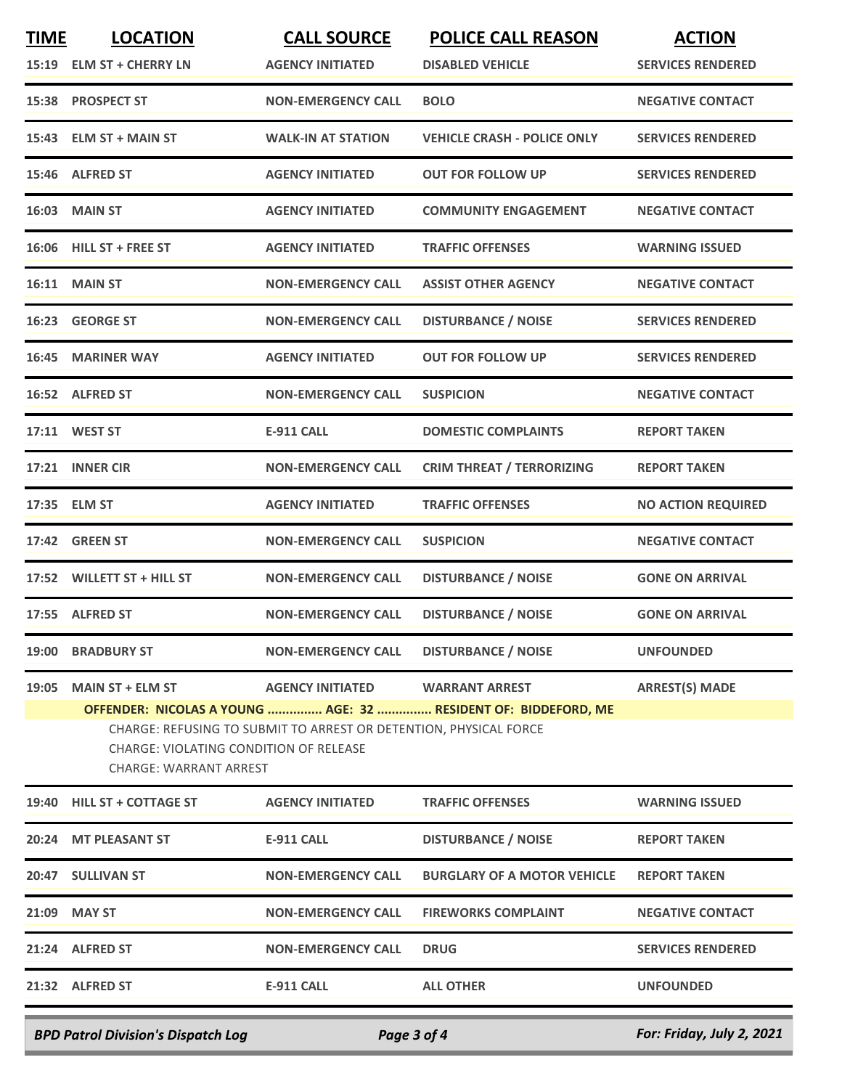| <b>TIME</b> | <b>LOCATION</b>                                                         | <b>CALL SOURCE</b>                                                | <b>POLICE CALL REASON</b>                                      | <b>ACTION</b>             |
|-------------|-------------------------------------------------------------------------|-------------------------------------------------------------------|----------------------------------------------------------------|---------------------------|
|             | 15:19 ELM ST + CHERRY LN                                                | <b>AGENCY INITIATED</b>                                           | <b>DISABLED VEHICLE</b>                                        | <b>SERVICES RENDERED</b>  |
|             | 15:38 PROSPECT ST                                                       | <b>NON-EMERGENCY CALL</b>                                         | <b>BOLO</b>                                                    | <b>NEGATIVE CONTACT</b>   |
|             | 15:43 ELM ST + MAIN ST                                                  | <b>WALK-IN AT STATION</b>                                         | <b>VEHICLE CRASH - POLICE ONLY</b>                             | <b>SERVICES RENDERED</b>  |
|             | 15:46 ALFRED ST                                                         | <b>AGENCY INITIATED</b>                                           | <b>OUT FOR FOLLOW UP</b>                                       | <b>SERVICES RENDERED</b>  |
|             | <b>16:03 MAIN ST</b>                                                    | <b>AGENCY INITIATED</b>                                           | <b>COMMUNITY ENGAGEMENT</b>                                    | <b>NEGATIVE CONTACT</b>   |
|             | 16:06 HILL ST + FREE ST                                                 | <b>AGENCY INITIATED</b>                                           | <b>TRAFFIC OFFENSES</b>                                        | <b>WARNING ISSUED</b>     |
|             | <b>16:11 MAIN ST</b>                                                    | <b>NON-EMERGENCY CALL</b>                                         | <b>ASSIST OTHER AGENCY</b>                                     | <b>NEGATIVE CONTACT</b>   |
|             | 16:23 GEORGE ST                                                         | <b>NON-EMERGENCY CALL</b>                                         | <b>DISTURBANCE / NOISE</b>                                     | <b>SERVICES RENDERED</b>  |
| 16:45       | <b>MARINER WAY</b>                                                      | <b>AGENCY INITIATED</b>                                           | <b>OUT FOR FOLLOW UP</b>                                       | <b>SERVICES RENDERED</b>  |
|             | 16:52 ALFRED ST                                                         | <b>NON-EMERGENCY CALL</b>                                         | <b>SUSPICION</b>                                               | <b>NEGATIVE CONTACT</b>   |
|             | 17:11 WEST ST                                                           | <b>E-911 CALL</b>                                                 | <b>DOMESTIC COMPLAINTS</b>                                     | <b>REPORT TAKEN</b>       |
|             | 17:21 INNER CIR                                                         | <b>NON-EMERGENCY CALL</b>                                         | <b>CRIM THREAT / TERRORIZING</b>                               | <b>REPORT TAKEN</b>       |
|             | 17:35 ELM ST                                                            | <b>AGENCY INITIATED</b>                                           | <b>TRAFFIC OFFENSES</b>                                        | <b>NO ACTION REQUIRED</b> |
|             | <b>17:42 GREEN ST</b>                                                   | <b>NON-EMERGENCY CALL</b>                                         | <b>SUSPICION</b>                                               | <b>NEGATIVE CONTACT</b>   |
|             | 17:52 WILLETT ST + HILL ST                                              | <b>NON-EMERGENCY CALL</b>                                         | <b>DISTURBANCE / NOISE</b>                                     | <b>GONE ON ARRIVAL</b>    |
|             | 17:55 ALFRED ST                                                         | <b>NON-EMERGENCY CALL</b>                                         | <b>DISTURBANCE / NOISE</b>                                     | <b>GONE ON ARRIVAL</b>    |
|             | 19:00 BRADBURY ST                                                       | <b>NON-EMERGENCY CALL</b>                                         | <b>DISTURBANCE / NOISE</b>                                     | <b>UNFOUNDED</b>          |
| 19:05       | <b>MAIN ST + ELM ST</b>                                                 | <b>AGENCY INITIATED</b>                                           | <b>WARRANT ARREST</b>                                          | <b>ARREST(S) MADE</b>     |
|             | <b>CHARGE: VIOLATING CONDITION OF RELEASE</b><br>CHARGE: WARRANT ARREST | CHARGE: REFUSING TO SUBMIT TO ARREST OR DETENTION, PHYSICAL FORCE | OFFENDER: NICOLAS A YOUNG  AGE: 32  RESIDENT OF: BIDDEFORD, ME |                           |
|             | 19:40 HILL ST + COTTAGE ST                                              | <b>AGENCY INITIATED</b>                                           | <b>TRAFFIC OFFENSES</b>                                        | <b>WARNING ISSUED</b>     |
|             | 20:24 MT PLEASANT ST                                                    | E-911 CALL                                                        | <b>DISTURBANCE / NOISE</b>                                     | <b>REPORT TAKEN</b>       |
|             | 20:47 SULLIVAN ST                                                       | <b>NON-EMERGENCY CALL</b>                                         | <b>BURGLARY OF A MOTOR VEHICLE</b>                             | <b>REPORT TAKEN</b>       |
|             | 21:09 MAY ST                                                            | <b>NON-EMERGENCY CALL</b>                                         | <b>FIREWORKS COMPLAINT</b>                                     | <b>NEGATIVE CONTACT</b>   |
|             | 21:24 ALFRED ST                                                         | <b>NON-EMERGENCY CALL</b>                                         | <b>DRUG</b>                                                    | <b>SERVICES RENDERED</b>  |
|             | 21:32 ALFRED ST                                                         | <b>E-911 CALL</b>                                                 | <b>ALL OTHER</b>                                               | <b>UNFOUNDED</b>          |
|             | <b>BPD Patrol Division's Dispatch Log</b>                               | Page 3 of 4                                                       |                                                                | For: Friday, July 2, 2021 |